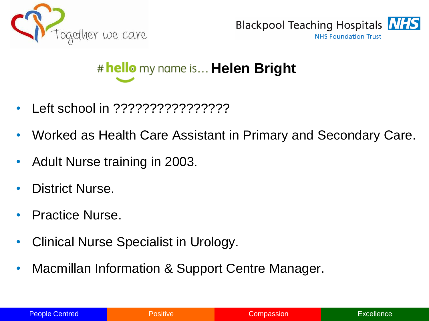



## # hello my name is... **Helen Bright**

- Left school in ????????????????
- Worked as Health Care Assistant in Primary and Secondary Care.
- Adult Nurse training in 2003.
- District Nurse.
- Practice Nurse.
- Clinical Nurse Specialist in Urology.
- Macmillan Information & Support Centre Manager.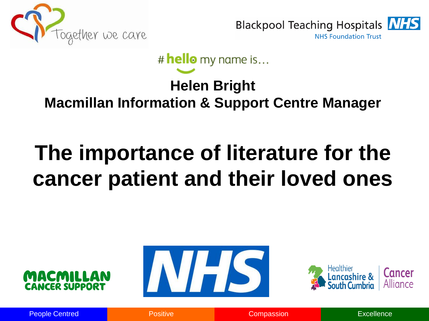



# hello my name is...

### **Helen Bright Macmillan Information & Support Centre Manager**

# **The importance of literature for the cancer patient and their loved ones**







People Centred **Positive Compassion** Compassion **Compassion** Excellence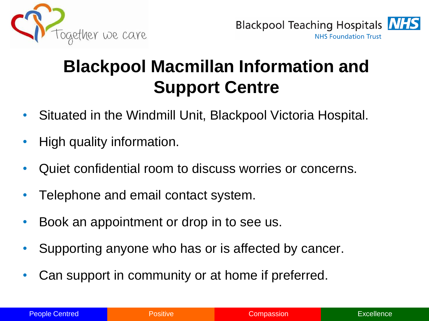



## **Blackpool Macmillan Information and Support Centre**

- Situated in the Windmill Unit, Blackpool Victoria Hospital.
- High quality information.
- Quiet confidential room to discuss worries or concerns.
- Telephone and email contact system.
- Book an appointment or drop in to see us.
- Supporting anyone who has or is affected by cancer.
- Can support in community or at home if preferred.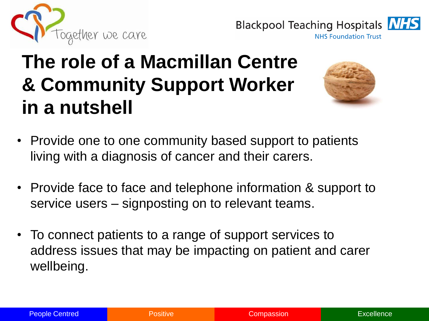

**Blackpool Teaching Hospitals NFS NHS Foundation Trust** 

## **The role of a Macmillan Centre & Community Support Worker in a nutshell**



- Provide one to one community based support to patients living with a diagnosis of cancer and their carers.
- Provide face to face and telephone information & support to service users – signposting on to relevant teams.
- To connect patients to a range of support services to address issues that may be impacting on patient and carer wellbeing.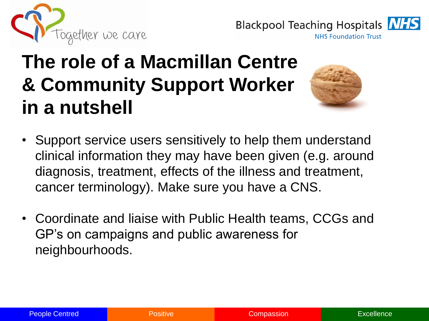

**Blackpool Teaching Hospitals NFS NHS Foundation Trust** 

## **The role of a Macmillan Centre & Community Support Worker in a nutshell**



- Support service users sensitively to help them understand clinical information they may have been given (e.g. around diagnosis, treatment, effects of the illness and treatment, cancer terminology). Make sure you have a CNS.
- Coordinate and liaise with Public Health teams, CCGs and GP's on campaigns and public awareness for neighbourhoods.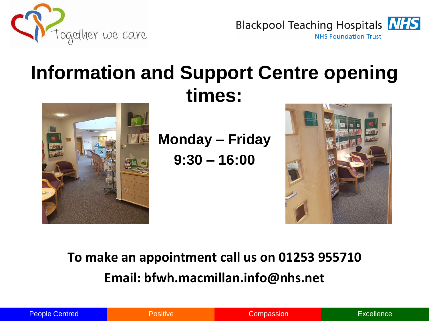

**Blackpool Teaching Hospitals NHS NHS Foundation Trust** 

## **Information and Support Centre opening times:**



**Monday – Friday** 

**9:30 – 16:00**



### **To make an appointment call us on 01253 955710 Email: bfwh.macmillan.info@nhs.net**

|  | <b>People Centred</b> |  |
|--|-----------------------|--|
|  |                       |  |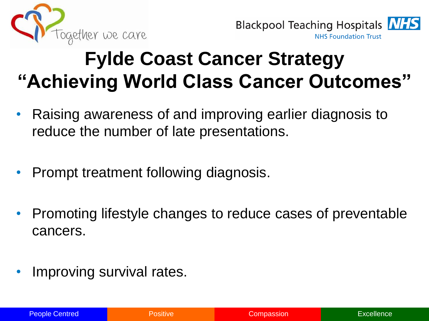



## **Fylde Coast Cancer Strategy "Achieving World Class Cancer Outcomes"**

- Raising awareness of and improving earlier diagnosis to reduce the number of late presentations.
- Prompt treatment following diagnosis.
- Promoting lifestyle changes to reduce cases of preventable cancers.
- Improving survival rates.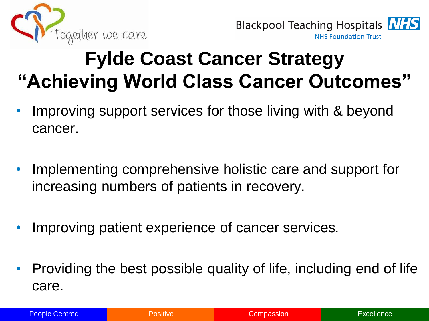



## **Fylde Coast Cancer Strategy "Achieving World Class Cancer Outcomes"**

- Improving support services for those living with & beyond cancer.
- Implementing comprehensive holistic care and support for increasing numbers of patients in recovery.
- Improving patient experience of cancer services.
- Providing the best possible quality of life, including end of life care.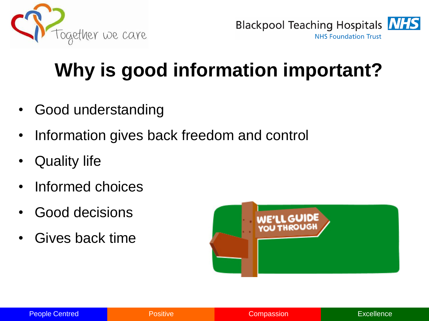



## **Why is good information important?**

- Good understanding
- Information gives back freedom and control
- Quality life
- Informed choices
- Good decisions
- Gives back time

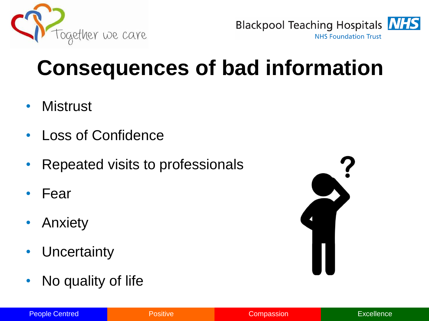



# **Consequences of bad information**

- Mistrust
- Loss of Confidence
- Repeated visits to professionals
- Fear
- Anxiety
- Uncertainty
- No quality of life



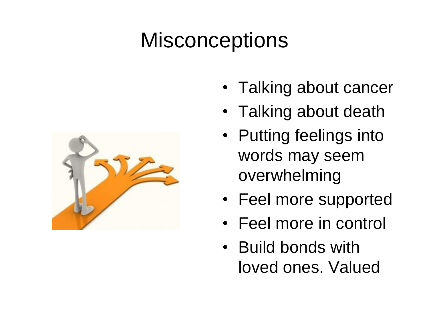# **Misconceptions**



- Talking about cancer
- Talking about death
- Putting feelings into words may seem overwhelming
- Feel more supported
- Feel more in control
- Build bonds with loved ones. Valued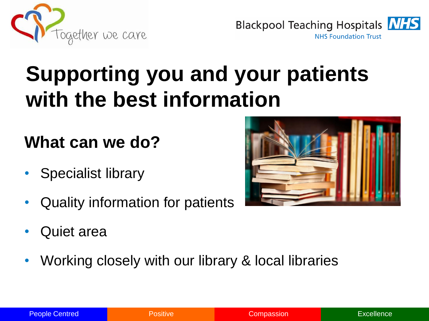



# **Supporting you and your patients with the best information**

## **What can we do?**

- Specialist library
- Quality information for patients
- Quiet area
- Working closely with our library & local libraries

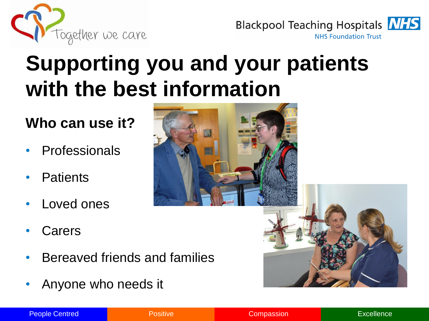



## **Supporting you and your patients with the best information**

#### **Who can use it?**

- **Professionals**
- **Patients**
- Loved ones
- **Carers**
- Bereaved friends and families
- Anyone who needs it





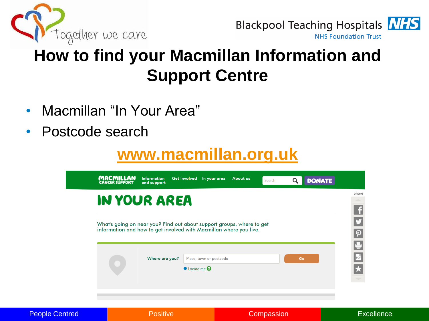



## **How to find your Macmillan Information and Support Centre**

- Macmillan "In Your Area"
- Postcode search

## **[www.macmillan.org.uk](http://www.macmillan.org.uk/)**

|                       | <b>MACMILLAN</b><br>CANCER SUPPORT | <b>Information</b><br>and support                                                                                                           | Get involved In your area                     | About us | Q<br>Search | <b>DONATE</b> |                   |
|-----------------------|------------------------------------|---------------------------------------------------------------------------------------------------------------------------------------------|-----------------------------------------------|----------|-------------|---------------|-------------------|
|                       |                                    | <b>IN YOUR AREA</b>                                                                                                                         |                                               |          |             |               |                   |
|                       |                                    | What's going on near you? Find out about support groups, where to get<br>information and how to get involved with Macmillan where you live. |                                               |          |             |               | $\mathbf{f}$      |
|                       |                                    | Where are you?                                                                                                                              | Place, town or postcode<br><b>O</b> Locate me |          | Go          |               | ソの山間大き            |
|                       |                                    |                                                                                                                                             |                                               |          |             |               |                   |
| <b>People Centred</b> |                                    | <b>Positive</b>                                                                                                                             |                                               |          | Compassion  |               | <b>Excellence</b> |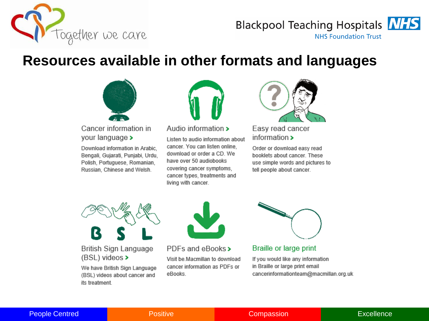

#### **Blackpool Teaching Hospitals NHS NHS Foundation Trust**

#### **Resources available in other formats and languages**



Cancer information in your language >

Download information in Arabic. Bengali, Gujarati, Punjabi, Urdu, Polish, Portuguese, Romanian, Russian, Chinese and Welsh.



#### Audio information >

Listen to audio information about cancer. You can listen online, download or order a CD. We have over 50 audiobooks covering cancer symptoms, cancer types, treatments and living with cancer.



Easy read cancer information >

Order or download easy read booklets about cancer. These use simple words and pictures to tell people about cancer.



**British Sign Language**  $(BSL)$  videos >

We have British Sign Language (BSL) videos about cancer and its treatment.



PDFs and eBooks > Visit be Macmillan to download cancer information as PDFs or eBooks.



Braille or large print

If you would like any information in Braille or large print email cancerinformationteam@macmillan.org.uk

#### People Centred **Positive Compassion** Compassion **Compassion** Excellence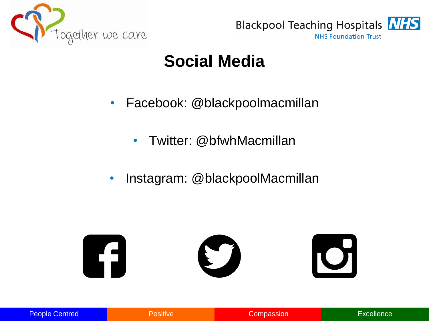



### **Social Media**

- Facebook: @blackpoolmacmillan
	- Twitter: @bfwhMacmillan
- Instagram: @blackpoolMacmillan